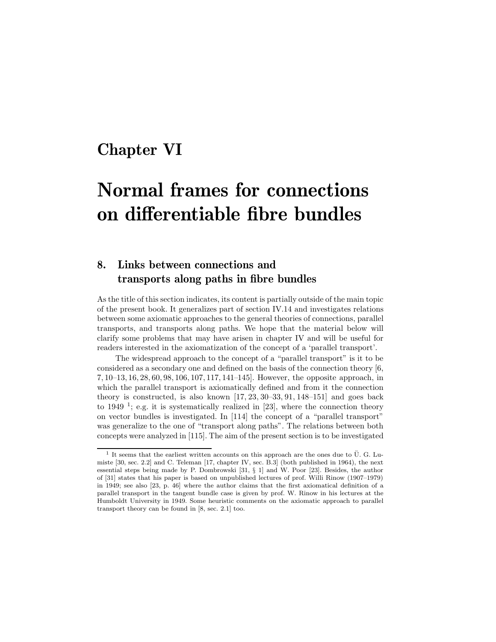## **Chapter VI**

# **Normal frames for connections on differentiable fibre bundles**

### **8. Links between connections and transports along paths in fibre bundles**

As the title of this section indicates, its content is partially outside of the main topic of the present book. It generalizes part of section IV.14 and investigates relations between some axiomatic approaches to the general theories of connections, parallel transports, and transports along paths. We hope that the material below will clarify some problems that may have arisen in chapter IV and will be useful for readers interested in the axiomatization of the concept of a 'parallel transport'.

The widespread approach to the concept of a "parallel transport" is it to be considered as a secondary one and defined on the basis of the connection theory [6, 7, 10–13, 16, 28, 60, 98, 106, 107, 117, 141–145]. However, the opposite approach, in which the parallel transport is axiomatically defined and from it the connection theory is constructed, is also known [17, 23, 30–33, 91, 148–151] and goes back to 1949<sup>1</sup>; e.g. it is systematically realized in [23], where the connection theory on vector bundles is investigated. In [114] the concept of a "parallel transport" was generalize to the one of "transport along paths". The relations between both concepts were analyzed in [115]. The aim of the present section is to be investigated

 $1$  It seems that the earliest written accounts on this approach are the ones due to  $\ddot{\text{U}}$ . G. Lumiste [30, sec. 2.2] and C. Teleman [17, chapter IV, sec. B.3] (both published in 1964), the next essential steps being made by P. Dombrowski [31, § 1] and W. Poor [23]. Besides, the author of [31] states that his paper is based on unpublished lectures of prof. Willi Rinow (1907–1979) in 1949; see also [23, p. 46] where the author claims that the first axiomatical definition of a parallel transport in the tangent bundle case is given by prof. W. Rinow in his lectures at the Humboldt University in 1949. Some heuristic comments on the axiomatic approach to parallel transport theory can be found in [8, sec. 2.1] too.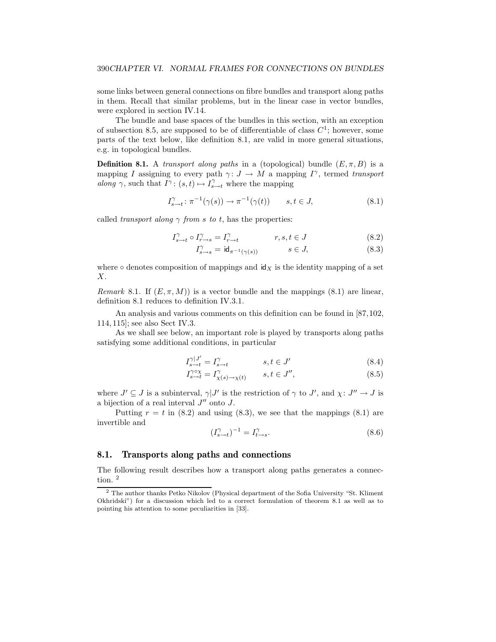some links between general connections on fibre bundles and transport along paths in them. Recall that similar problems, but in the linear case in vector bundles, were explored in section IV.14.

The bundle and base spaces of the bundles in this section, with an exception of subsection 8.5, are supposed to be of differentiable of class  $C<sup>1</sup>$ ; however, some parts of the text below, like definition 8.1, are valid in more general situations, e.g. in topological bundles.

**Definition 8.1.** A *transport along paths* in a (topological) bundle  $(E, \pi, B)$  is a mapping *I* assigning to every path  $\gamma: J \to M$  a mapping  $I^{\gamma}$ , termed *transport along*  $\gamma$ , such that  $I^{\gamma}$ :  $(s, t) \mapsto I^{\gamma}_{s \to t}$  where the mapping

$$
I_{s\to t}^{\gamma} : \pi^{-1}(\gamma(s)) \to \pi^{-1}(\gamma(t)) \qquad s, t \in J,
$$
\n
$$
(8.1)
$$

called *transport along*  $\gamma$  *from s to t*, has the properties:

$$
I_{s \to t}^{\gamma} \circ I_{r \to s}^{\gamma} = I_{r \to t}^{\gamma} \qquad \qquad r, s, t \in J \tag{8.2}
$$

$$
I_{s \to s}^{\gamma} = \mathrm{id}_{\pi^{-1}(\gamma(s))} \qquad s \in J, \tag{8.3}
$$

where  $\circ$  denotes composition of mappings and  $\mathsf{id}_X$  is the identity mapping of a set *X*.

*Remark* 8.1. If  $(E, \pi, M)$  is a vector bundle and the mappings (8.1) are linear, definition 8.1 reduces to definition IV.3.1.

An analysis and various comments on this definition can be found in [87,102, 114, 115]; see also Sect IV.3.

As we shall see below, an important role is played by transports along paths satisfying some additional conditions, in particular

$$
I_{s \to t}^{\gamma |J'} = I_{s \to t}^{\gamma} \qquad s, t \in J' \qquad (8.4)
$$

$$
I_{s \to t}^{\gamma \circ \chi} = I_{\chi(s) \to \chi(t)}^{\gamma} \qquad s, t \in J'', \tag{8.5}
$$

where  $J' \subseteq J$  is a subinterval,  $\gamma | J'$  is the restriction of  $\gamma$  to  $J'$ , and  $\chi: J'' \to J$  is a bijection of a real interval  $J''$  onto  $J$ .

Putting  $r = t$  in (8.2) and using (8.3), we see that the mappings (8.1) are invertible and

$$
(I_{s \to t}^{\gamma})^{-1} = I_{t \to s}^{\gamma}.
$$
\n(8.6)

#### **8.1. Transports along paths and connections**

The following result describes how a transport along paths generates a connection. <sup>2</sup>

<sup>2</sup> The author thanks Petko Nikolov (Physical department of the Sofia University "St. Kliment Okhridski") for a discussion which led to a correct formulation of theorem 8.1 as well as to pointing his attention to some peculiarities in [33].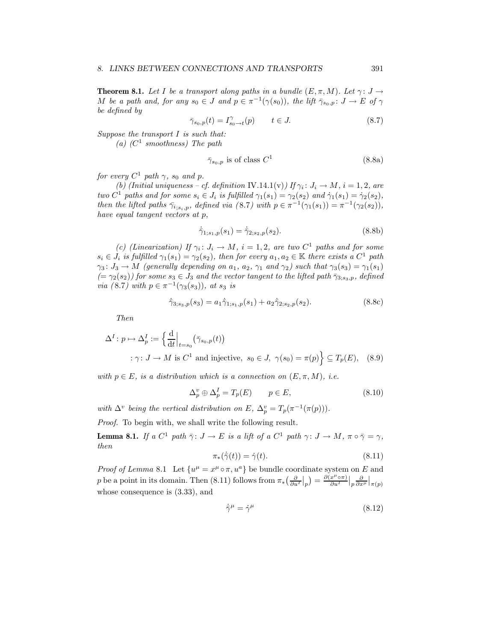**Theorem 8.1.** Let I be a transport along paths in a bundle  $(E, \pi, M)$ . Let  $\gamma: J \to$ *M be a path and, for any*  $s_0 \in J$  *and*  $p \in \pi^{-1}(\gamma(s_0))$ *, the lift*  $\bar{\gamma}_{s_0,p} : J \to E$  *of*  $\gamma$ *be defined by*

$$
\bar{\gamma}_{s_0,p}(t) = I_{s_0 \to t}^{\gamma}(p) \qquad t \in J. \tag{8.7}
$$

*Suppose the transport I is such that:*

*(a) (C*<sup>1</sup> *smoothness) The path*

$$
\bar{\gamma}_{s_0,p} \text{ is of class } C^1 \tag{8.8a}
$$

*for every*  $C^1$  *path*  $\gamma$ *, s<sub>0</sub> and p.* 

*(b)* (Initial uniqueness – cf. definition IV.14.1(v)) If  $\gamma_i : J_i \to M$ ,  $i = 1, 2$ , are *two*  $C^1$  *paths and for some*  $s_i \in J_i$  *is fulfilled*  $\gamma_1(s_1) = \gamma_2(s_2)$  *and*  $\dot{\gamma}_1(s_1) = \dot{\gamma}_2(s_2)$ *, then the lifted paths*  $\bar{\gamma}_{i,s_i,p}$ *, defined via* (8.7*)* with  $p \in \pi^{-1}(\gamma_1(s_1)) = \pi^{-1}(\gamma_2(s_2))$ , *have equal tangent vectors at p,*

$$
\dot{\bar{\gamma}}_{1,s_1,p}(s_1) = \dot{\bar{\gamma}}_{2,s_2,p}(s_2). \tag{8.8b}
$$

*(c)* (Linearization) If  $\gamma_i : J_i \to M$ ,  $i = 1, 2$ , are two  $C^1$  paths and for some  $s_i \in J_i$  *is fulfilled*  $\gamma_1(s_1) = \gamma_2(s_2)$ *, then for every*  $a_1, a_2 \in \mathbb{K}$  *there exists a*  $C^1$  *path*  $\gamma_3 \colon J_3 \to M$  (generally depending on  $a_1$ ,  $a_2$ ,  $\gamma_1$  and  $\gamma_2$ ) such that  $\gamma_3(s_3) = \gamma_1(s_1)$  $(=\gamma_2(s_2))$  for some  $s_3 \in J_3$  and the vector tangent to the lifted path  $\bar{\gamma}_{3;ss_3,p}$ , defined *via* (8.7) with  $p \in \pi^{-1}(\gamma_3(s_3))$ , at  $s_3$  *is* 

$$
\dot{\bar{\gamma}}_{3,s_3,p}(s_3) = a_1 \dot{\bar{\gamma}}_{1,s_1,p}(s_1) + a_2 \dot{\bar{\gamma}}_{2,s_2,p}(s_2). \tag{8.8c}
$$

*Then*

$$
\Delta^{I}: p \mapsto \Delta_{p}^{I} := \left\{ \frac{d}{dt} \Big|_{t=s_{0}} (\bar{\gamma}_{s_{0},p}(t))
$$
  
  $\therefore \gamma: J \to M \text{ is } C^{1} \text{ and injective, } s_{0} \in J, \gamma(s_{0}) = \pi(p) \right\} \subseteq T_{p}(E), \quad (8.9)$ 

*with*  $p \in E$ *, is a distribution which is a connection on*  $(E, \pi, M)$ *, i.e.* 

$$
\Delta_p^v \oplus \Delta_p^I = T_p(E) \qquad p \in E,\tag{8.10}
$$

*with*  $\Delta^v$  *being the vertical distribution on*  $E$ *,*  $\Delta_p^v = T_p(\pi^{-1}(\pi(p)))$ *.* 

*Proof.* To begin with, we shall write the following result.

**Lemma 8.1.** *If a*  $C^1$  *path*  $\bar{\gamma}$ :  $J \to E$  *is a lift of a*  $C^1$  *path*  $\gamma$ :  $J \to M$ ,  $\pi \circ \bar{\gamma} = \gamma$ , *then*

$$
\pi_*(\dot{\bar{\gamma}}(t)) = \dot{\gamma}(t). \tag{8.11}
$$

*Proof of Lemma* 8.1 Let  $\{u^{\mu} = x^{\mu} \circ \pi, u^{a}\}\$ be bundle coordinate system on *E* and p be a point in its domain. Then (8.11) follows from  $\pi_*\left(\frac{\partial}{\partial u'}\Big|_p\right) = \frac{\partial(x^{\mu}\circ\pi)}{\partial u'}\Big|_p\frac{\partial}{\partial x^{\mu}}\Big|_{\pi(p)}$ whose consequence is (3.33), and

$$
\dot{\bar{\gamma}}^{\mu} = \dot{\gamma}^{\mu} \tag{8.12}
$$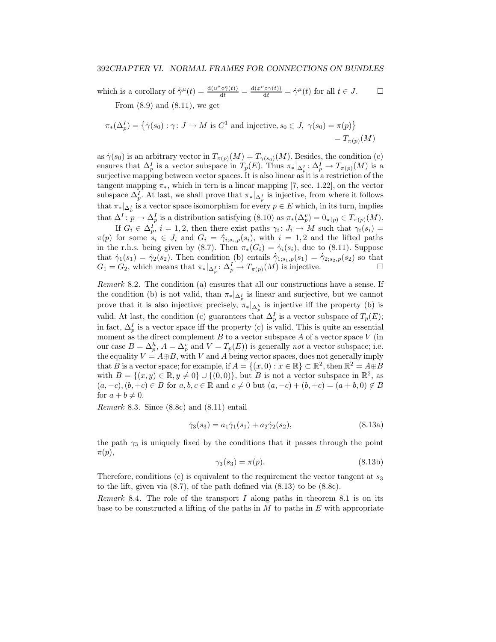which is a corollary of  $\dot{\gamma}^{\mu}(t) = \frac{d(u^{\mu} \circ \dot{\gamma}(t))}{dt} = \frac{d(x^{\mu} \circ \gamma(t))}{dt} = \dot{\gamma}^{\mu}(t)$  for all  $t \in J$ . From  $(8.9)$  and  $(8.11)$ , we get

$$
\pi_*(\Delta_p^I) = \{ \dot{\gamma}(s_0) : \gamma \colon J \to M \text{ is } C^1 \text{ and injective}, s_0 \in J, \ \gamma(s_0) = \pi(p) \}
$$
  
=  $T_{\pi(p)}(M)$ 

as  $\dot{\gamma}(s_0)$  is an arbitrary vector in  $T_{\pi(p)}(M) = T_{\gamma(s_0)}(M)$ . Besides, the condition (c) ensures that  $\Delta_p^I$  is a vector subspace in  $T_p(E)$ . Thus  $\pi_*|_{\Delta_p^I} : \Delta_p^I \to T_{\pi(p)}(M)$  is a surjective mapping between vector spaces. It is also linear as it is a restriction of the tangent mapping  $\pi_*$ , which in tern is a linear mapping [7, sec. 1.22], on the vector subspace  $\Delta_p^I$ . At last, we shall prove that  $\pi_*|_{\Delta_p^I}$  is injective, from where it follows that  $\pi_*|_{\Delta_p^I}$  is a vector space isomorphism for every  $p \in E$  which, in its turn, implies that  $\Delta^I$ :  $p \to \Delta^I_p$  is a distribution satisfying (8.10) as  $\pi_*(\Delta^v_p) = 0_{\pi(p)} \in T_{\pi(p)}(M)$ .

If  $G_i \in \Delta_p^I$ ,  $i = 1, 2$ , then there exist paths  $\gamma_i : J_i \to M$  such that  $\gamma_i(s_i) =$  $\pi(p)$  for some  $s_i \in J_i$  and  $G_i = \overline{\gamma}_{i; s_i, p}(s_i)$ , with  $i = 1, 2$  and the lifted paths in the r.h.s. being given by (8.7). Then  $\pi_*(G_i) = \gamma_i(s_i)$ , due to (8.11). Suppose that  $\dot{\gamma}_1(s_1)=\dot{\gamma}_2(s_2)$ . Then condition (b) entails  $\dot{\bar{\gamma}}_{1,s_1,p}(s_1)=\dot{\bar{\gamma}}_{2,s_2,p}(s_2)$  so that  $G_1 = G_2$ , which means that  $\pi_*|_{\Delta_p^I} : \Delta_p^I \to T_{\pi(p)}(M)$  is injective.

*Remark* 8.2*.* The condition (a) ensures that all our constructions have a sense. If the condition (b) is not valid, than  $\pi_*|_{\Delta_p^I}$  is linear and surjective, but we cannot prove that it is also injective; precisely,  $\pi_*|_{\Delta_p^h}$  is injective iff the property (b) is valid. At last, the condition (c) guarantees that  $\Delta_p^I$  is a vector subspace of  $T_p(E)$ ; in fact,  $\Delta_p^I$  is a vector space iff the property (c) is valid. This is quite an essential moment as the direct complement *B* to a vector subspace *A* of a vector space *V* (in our case  $B = \Delta_p^h$ ,  $A = \Delta_p^v$  and  $V = T_p(E)$ ) is generally *not* a vector subspace; i.e. the equality  $V = A \oplus B$ , with *V* and *A* being vector spaces, does not generally imply that *B* is a vector space; for example, if  $A = \{(x, 0) : x \in \mathbb{R}\}\subset \mathbb{R}^2$ , then  $\mathbb{R}^2 = A \oplus B$ with  $B = \{(x, y) \in \mathbb{R}, y \neq 0\} \cup \{(0, 0)\}\)$ , but *B* is not a vector subspace in  $\mathbb{R}^2$ , as  $(a, -c), (b, +c) \in B$  for  $a, b, c \in \mathbb{R}$  and  $c \neq 0$  but  $(a, -c) + (b, +c) = (a + b, 0) \notin B$ for  $a + b \neq 0$ .

*Remark* 8.3*.* Since (8.8c) and (8.11) entail

$$
\dot{\gamma}_3(s_3) = a_1 \dot{\gamma}_1(s_1) + a_2 \dot{\gamma}_2(s_2),\tag{8.13a}
$$

the path  $\gamma_3$  is uniquely fixed by the conditions that it passes through the point *π*(*p*),

$$
\gamma_3(s_3) = \pi(p). \tag{8.13b}
$$

Therefore, conditions (c) is equivalent to the requirement the vector tangent at *s*<sup>3</sup> to the lift, given via (8.7), of the path defined via (8.13) to be (8.8c).

*Remark* 8.4*.* The role of the transport *I* along paths in theorem 8.1 is on its base to be constructed a lifting of the paths in *M* to paths in *E* with appropriate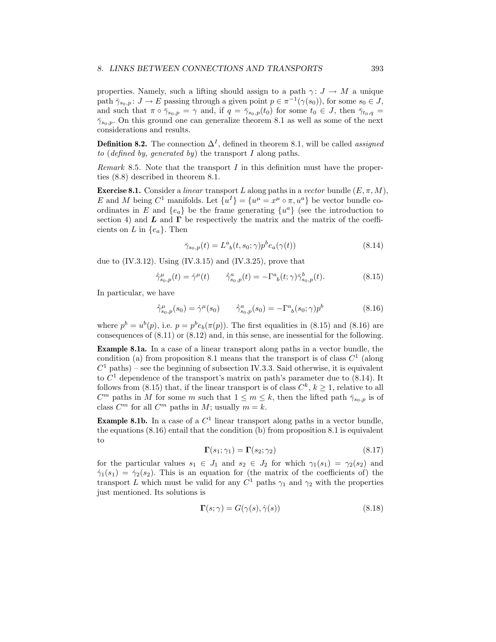properties. Namely, such a lifting should assign to a path  $\gamma: J \to M$  a unique path  $\bar{\gamma}_{s_0,p}$ :  $J \to E$  passing through a given point  $p \in \pi^{-1}(\gamma(s_0))$ , for some  $s_0 \in J$ , and such that  $\pi \circ \bar{\gamma}_{s_0,p} = \gamma$  and, if  $q = \bar{\gamma}_{s_0,p}(t_0)$  for some  $t_0 \in J$ , then  $\bar{\gamma}_{t_0,q} =$  $\bar{\gamma}_{s_0,p}$ . On this ground one can generalize theorem 8.1 as well as some of the next considerations and results.

**Definition 8.2.** The connection  $\Delta^I$ , defined in theorem 8.1, will be called *assigned to* (*defined by, generated by*) the transport *I* along paths.

*Remark* 8.5*.* Note that the transport *I* in this definition must have the properties (8.8) described in theorem 8.1.

**Exercise 8.1.** Consider a *linear* transport *L* along paths in a *vector* bundle  $(E, \pi, M)$ , *E* and *M* being  $C^1$  manifolds. Let  $\{u^I\} = \{u^\mu = x^\mu \circ \pi, u^a\}$  be vector bundle coordinates in *E* and  $\{e_a\}$  be the frame generating  $\{u^a\}$  (see the introduction to section 4) and  $\bf{L}$  and  $\bf{\Gamma}$  be respectively the matrix and the matrix of the coefficients on *L* in  $\{e_a\}$ . Then

$$
\bar{\gamma}_{s_0,p}(t) = L^a{}_b(t, s_0; \gamma) p^b e_a(\gamma(t)) \tag{8.14}
$$

due to  $(IV.3.12)$ . Using  $(IV.3.15)$  and  $(IV.3.25)$ , prove that

$$
\dot{\bar{\gamma}}_{s_0,p}^{\mu}(t) = \dot{\gamma}^{\mu}(t) \qquad \dot{\bar{\gamma}}_{s_0,p}^a(t) = -\Gamma^a{}_b(t;\gamma)\bar{\gamma}_{s_0,p}^b(t). \tag{8.15}
$$

In particular, we have

$$
\dot{\bar{\gamma}}_{s_0,p}^{\mu}(s_0) = \dot{\gamma}^{\mu}(s_0) \qquad \dot{\bar{\gamma}}_{s_0,p}^a(s_0) = -\Gamma^a_{\ b}(s_0; \gamma)p^b \tag{8.16}
$$

where  $p^b = u^b(p)$ , i.e.  $p = p^b e_b(\pi(p))$ . The first equalities in (8.15) and (8.16) are consequences of (8.11) or (8.12) and, in this sense, are inessential for the following.

**Example 8.1a.** In a case of a linear transport along paths in a vector bundle, the condition (a) from proposition 8.1 means that the transport is of class  $C<sup>1</sup>$  (along  $C<sup>1</sup>$  paths) – see the beginning of subsection IV.3.3. Said otherwise, it is equivalent to  $C<sup>1</sup>$  dependence of the transport's matrix on path's parameter due to  $(8.14)$ . It follows from (8.15) that, if the linear transport is of class  $C^k$ ,  $k \ge 1$ , relative to all *C*<sup>m</sup> paths in *M* for some *m* such that  $1 \leq m \leq k$ , then the lifted path  $\bar{\gamma}_{s_0,p}$  is of class  $C^m$  for all  $C^m$  paths in  $M$ ; usually  $m = k$ .

**Example 8.1b.** In a case of a  $C<sup>1</sup>$  linear transport along paths in a vector bundle, the equations  $(8.16)$  entail that the condition  $(b)$  from proposition  $8.1$  is equivalent to

$$
\Gamma(s_1; \gamma_1) = \Gamma(s_2; \gamma_2) \tag{8.17}
$$

for the particular values  $s_1 \in J_1$  and  $s_2 \in J_2$  for which  $\gamma_1(s_1) = \gamma_2(s_2)$  and  $\dot{\gamma}_1(s_1)=\dot{\gamma}_2(s_2)$ . This is an equation for (the matrix of the coefficients of) the transport *L* which must be valid for any  $C^1$  paths  $\gamma_1$  and  $\gamma_2$  with the properties just mentioned. Its solutions is

$$
\Gamma(s; \gamma) = G(\gamma(s), \dot{\gamma}(s)) \tag{8.18}
$$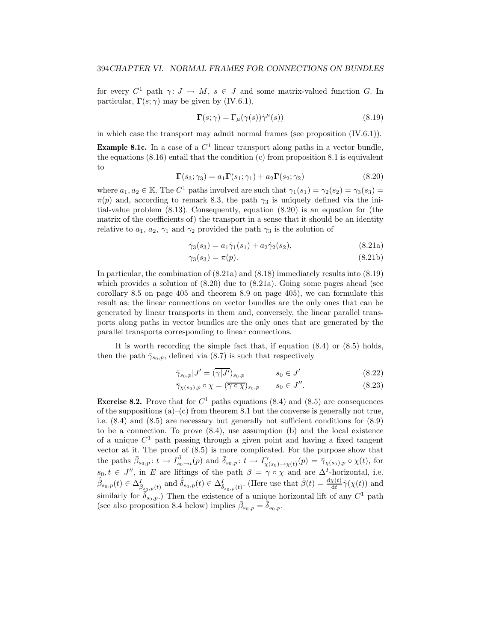for every  $C^1$  path  $\gamma: J \to M$ ,  $s \in J$  and some matrix-valued function *G*. In particular,  $\Gamma(s; \gamma)$  may be given by (IV.6.1),

$$
\Gamma(s; \gamma) = \Gamma_{\mu}(\gamma(s))\dot{\gamma}^{\mu}(s)
$$
\n(8.19)

in which case the transport may admit normal frames (see proposition (IV.6.1)).

**Example 8.1c.** In a case of a  $C<sup>1</sup>$  linear transport along paths in a vector bundle, the equations  $(8.16)$  entail that the condition  $(c)$  from proposition 8.1 is equivalent to

$$
\Gamma(s_3; \gamma_3) = a_1 \Gamma(s_1; \gamma_1) + a_2 \Gamma(s_2; \gamma_2)
$$
\n(8.20)

where  $a_1, a_2 \in \mathbb{K}$ . The  $C^1$  paths involved are such that  $\gamma_1(s_1) = \gamma_2(s_2) = \gamma_3(s_3)$  $\pi(p)$  and, according to remark 8.3, the path  $\gamma_3$  is uniquely defined via the initial-value problem (8.13). Consequently, equation (8.20) is an equation for (the matrix of the coefficients of) the transport in a sense that it should be an identity relative to  $a_1, a_2, \gamma_1$  and  $\gamma_2$  provided the path  $\gamma_3$  is the solution of

$$
\dot{\gamma}_3(s_3) = a_1 \dot{\gamma}_1(s_1) + a_2 \dot{\gamma}_2(s_2),\tag{8.21a}
$$

$$
\gamma_3(s_3) = \pi(p). \tag{8.21b}
$$

In particular, the combination of (8.21a) and (8.18) immediately results into (8.19) which provides a solution of  $(8.20)$  due to  $(8.21a)$ . Going some pages ahead (see corollary 8.5 on page 405 and theorem 8.9 on page 405), we can formulate this result as: the linear connections on vector bundles are the only ones that can be generated by linear transports in them and, conversely, the linear parallel transports along paths in vector bundles are the only ones that are generated by the parallel transports corresponding to linear connections.

It is worth recording the simple fact that, if equation (8.4) or (8.5) holds, then the path  $\bar{\gamma}_{s_0,p}$ , defined via (8.7) is such that respectively

$$
\bar{\gamma}_{s_0,p}|J'=(\overline{\gamma|J'})_{s_0,p} \qquad \qquad s_0\in J' \qquad (8.22)
$$

$$
\bar{\gamma}_{\chi(s_0),p} \circ \chi = (\overline{\gamma \circ \chi})_{s_0,p} \qquad s_0 \in J''.
$$
\n(8.23)

**Exercise 8.2.** Prove that for  $C^1$  paths equations (8.4) and (8.5) are consequences of the suppositions  $(a)$ –(c) from theorem 8.1 but the converse is generally not true, i.e. (8.4) and (8.5) are necessary but generally not sufficient conditions for (8.9) to be a connection. To prove (8.4), use assumption (b) and the local existence of a unique  $C<sup>1</sup>$  path passing through a given point and having a fixed tangent vector at it. The proof of (8.5) is more complicated. For the purpose show that the paths  $\bar{\beta}_{s_0,p}: t \to I_{s_0 \to t}^{\beta}(p)$  and  $\bar{\delta}_{s_0,p}: t \to I_{\chi(s_0) \to \chi(t)}^{\gamma}(p) = \bar{\gamma}_{\chi(s_0),p} \circ \chi(t)$ , for  $s_0, t \in J''$ , in *E* are liftings of the path  $\beta = \gamma \circ \chi$  and are  $\Delta^I$ -horizontal, i.e.  $\dot{\bar{\beta}}_{s_0,p}(t) \in \Delta_{\bar{\beta}_{s_0,p}(t)}^I$  and  $\dot{\bar{\delta}}_{s_0,p}(t) \in \Delta_{\bar{\delta}_{s_0,p}(t)}^I$ . (Here use that  $\dot{\beta}(t) = \frac{d\chi(t)}{dt}\dot{\gamma}(\chi(t))$  and similarly for  $\bar{\delta}_{s_0,p}$ .) Then the existence of a unique horizontal lift of any  $C^1$  path (see also proposition 8.4 below) implies  $\bar{\beta}_{s_0,p} = \bar{\delta}_{s_0,p}$ .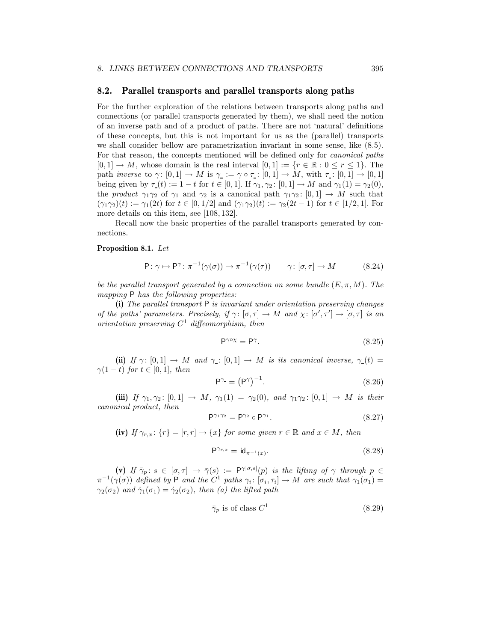#### **8.2. Parallel transports and parallel transports along paths**

For the further exploration of the relations between transports along paths and connections (or parallel transports generated by them), we shall need the notion of an inverse path and of a product of paths. There are not 'natural' definitions of these concepts, but this is not important for us as the (parallel) transports we shall consider bellow are parametrization invariant in some sense, like (8.5). For that reason, the concepts mentioned will be defined only for *canonical paths*  $[0,1] \rightarrow M$ , whose domain is the real interval  $[0,1] := \{r \in \mathbb{R} : 0 \le r \le 1\}$ . The path *inverse* to  $\gamma: [0,1] \to M$  is  $\gamma := \gamma \circ \tau : [0,1] \to M$ , with  $\tau: [0,1] \to [0,1]$ being given by *τ* (*t*) := 1 − *t* for *t* ∈ [0*,* 1]. If  $γ_1, γ_2$ : [0*,* 1] → *M* and  $γ_1(1) = γ_2(0)$ , the *product*  $\gamma_1 \gamma_2$  of  $\gamma_1$  and  $\gamma_2$  is a canonical path  $\gamma_1 \gamma_2$ :  $[0,1] \rightarrow M$  such that  $(\gamma_1 \gamma_2)(t) := \gamma_1(2t)$  for  $t \in [0, 1/2]$  and  $(\gamma_1 \gamma_2)(t) := \gamma_2(2t - 1)$  for  $t \in [1/2, 1]$ . For more details on this item, see [108, 132].

Recall now the basic properties of the parallel transports generated by connections.

#### **Proposition 8.1.** *Let*

$$
\mathsf{P}: \gamma \mapsto \mathsf{P}^{\gamma}: \pi^{-1}(\gamma(\sigma)) \to \pi^{-1}(\gamma(\tau)) \qquad \gamma: [\sigma, \tau] \to M \tag{8.24}
$$

*be the parallel transport generated by a connection on some bundle*  $(E, \pi, M)$ *. The mapping* P *has the following properties:*

**(i)** *The parallel transport* P *is invariant under orientation preserving changes of the paths' parameters. Precisely, if*  $\gamma$ :  $[\sigma, \tau] \to M$  *and*  $\chi$ :  $[\sigma', \tau'] \to [\sigma, \tau]$  *is an orientation preserving C*<sup>1</sup> *diffeomorphism, then*

$$
P^{\gamma \circ \chi} = P^{\gamma}.
$$
 (8.25)

**(ii)** *If*  $\gamma$ :  $[0,1] \rightarrow M$  *and*  $\gamma$ :  $[0,1] \rightarrow M$  *is its canonical inverse,*  $\gamma$  (*t*) =  $\gamma(1-t)$  *for*  $t \in [0,1]$ *, then* 

$$
\mathsf{P}^{\gamma} = \left(\mathsf{P}^{\gamma}\right)^{-1}.\tag{8.26}
$$

**(iii)** *If*  $\gamma_1, \gamma_2$ :  $[0,1] \to M$ ,  $\gamma_1(1) = \gamma_2(0)$ , and  $\gamma_1 \gamma_2$ :  $[0,1] \to M$  is their *canonical product, then*

$$
\mathsf{P}^{\gamma_1 \gamma_2} = \mathsf{P}^{\gamma_2} \circ \mathsf{P}^{\gamma_1}.\tag{8.27}
$$

**(iv)** *If*  $\gamma_{r,x}$ :  $\{r\} = [r, r] \rightarrow \{x\}$  *for some given*  $r \in \mathbb{R}$  *and*  $x \in M$ *, then* 

$$
\mathsf{P}^{\gamma_{r,x}} = \mathsf{id}_{\pi^{-1}(x)}.\tag{8.28}
$$

 $(\mathbf{v})$  *If*  $\bar{\gamma}_p : s \in [\sigma, \tau] \rightarrow \bar{\gamma}(s) := \mathsf{P}^{\gamma[\sigma, s]}(p)$  *is the lifting of*  $\gamma$  *through*  $p \in \mathcal{P}$  $\pi^{-1}(\gamma(\sigma))$  *defined by* P *and the*  $C^1$  *paths*  $\gamma_i : [\sigma_i, \tau_i] \to M$  *are such that*  $\gamma_1(\sigma_1) =$ *γ*<sub>2</sub>(*σ*<sub>2</sub>) *and*  $\dot{\gamma}_1(\sigma_1) = \dot{\gamma}_2(\sigma_2)$ *, then (a) the lifted path* 

$$
\bar{\gamma}_p \text{ is of class } C^1 \tag{8.29}
$$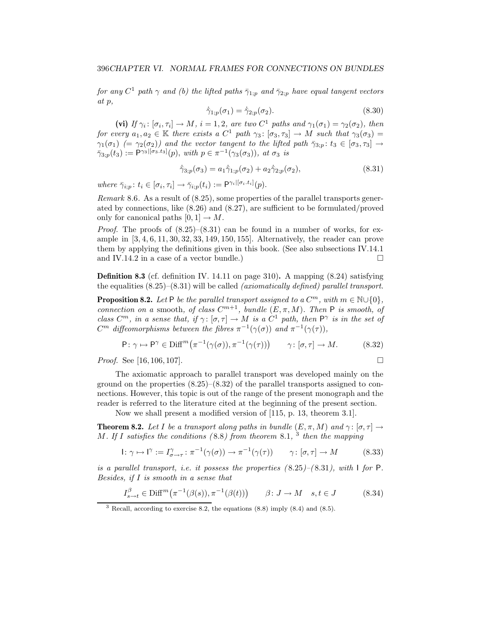*for any*  $C^1$  *path*  $\gamma$  *and* (b) the lifted paths  $\bar{\gamma}_{1:p}$  *and*  $\bar{\gamma}_{2:p}$  *have equal tangent vectors at p,*

$$
\dot{\bar{\gamma}}_{1;p}(\sigma_1) = \dot{\bar{\gamma}}_{2;p}(\sigma_2). \tag{8.30}
$$

(vi) *If*  $\gamma_i : [\sigma_i, \tau_i] \to M$ *,*  $i = 1, 2$ *, are two*  $C^1$  *paths and*  $\gamma_1(\sigma_1) = \gamma_2(\sigma_2)$ *, then for every*  $a_1, a_2 \in \mathbb{K}$  *there exists a*  $C^1$  *path*  $\gamma_3: [\sigma_3, \tau_3] \to M$  *such that*  $\gamma_3(\sigma_3) =$ *γ*<sub>1</sub>(*σ*<sub>1</sub>) (= *γ*<sub>2</sub>(*σ*<sub>2</sub>)) and the vector tangent to the lifted path  $\bar{\gamma}_{3,p}$ :  $t_3 \in [\sigma_3, \tau_3] \rightarrow$  $\bar{\gamma}_{3;p}(t_3) := \mathsf{P}^{\gamma_3,[\sigma_3,t_3]}(p)$ *, with*  $p \in \pi^{-1}(\gamma_3(\sigma_3))$ *, at*  $\sigma_3$  *is* 

$$
\dot{\bar{\gamma}}_{3;p}(\sigma_3) = a_1 \dot{\bar{\gamma}}_{1;p}(\sigma_2) + a_2 \dot{\bar{\gamma}}_{2;p}(\sigma_2), \tag{8.31}
$$

 $where \ \bar{\gamma}_{i:p}: t_i \in [\sigma_i, \tau_i] \rightarrow \bar{\gamma}_{i:p}(t_i) := \mathsf{P}^{\gamma_i | [\sigma_i, t_i]}(p).$ 

*Remark* 8.6*.* As a result of (8.25), some properties of the parallel transports generated by connections, like (8.26) and (8.27), are sufficient to be formulated/proved only for canonical paths  $[0, 1] \rightarrow M$ .

*Proof.* The proofs of  $(8.25)-(8.31)$  can be found in a number of works, for example in [3, 4, 6, 11, 30, 32, 33, 149, 150, 155]. Alternatively, the reader can prove them by applying the definitions given in this book. (See also subsections IV.14.1 and IV.14.2 in a case of a vector bundle.)  $\Box$ 

**Definition 8.3** (cf. definition IV. 14.11 on page 310)**.** A mapping (8.24) satisfying the equalities (8.25)–(8.31) will be called *(axiomatically defined) parallel transport*.

**Proposition 8.2.** Let P be the parallel transport assigned to a  $C^m$ , with  $m \in \mathbb{N} \cup \{0\}$ . *connection on a* smooth, *of class*  $C^{m+1}$ *, bundle*  $(E, \pi, M)$ *. Then* P *is smooth, of class*  $C^m$ , in a sense that, if  $\gamma : [\sigma, \tau] \to M$  is a  $C^1$  path, then  $P^{\gamma}$  *is in the set of C*<sup>m</sup> diffeomorphisms between the fibres  $\pi^{-1}(\gamma(\sigma))$  and  $\pi^{-1}(\gamma(\tau))$ ,

$$
\mathsf{P}: \gamma \mapsto \mathsf{P}^{\gamma} \in \text{Diff}^{m}(\pi^{-1}(\gamma(\sigma)), \pi^{-1}(\gamma(\tau))) \qquad \gamma \colon [\sigma, \tau] \to M. \tag{8.32}
$$

*Proof.* See [16, 106, 107]. □

The axiomatic approach to parallel transport was developed mainly on the ground on the properties  $(8.25)-(8.32)$  of the parallel transports assigned to connections. However, this topic is out of the range of the present monograph and the reader is referred to the literature cited at the beginning of the present section.

Now we shall present a modified version of [115, p. 13, theorem 3.1].

**Theorem 8.2.** *Let I be a transport along paths in bundle*  $(E, \pi, M)$  *and*  $\gamma$ :  $[\sigma, \tau] \rightarrow$ *M. If I satisfies the conditions (* 8.8*) from theorem* 8.1*,* <sup>3</sup> *then the mapping*

$$
I: \gamma \mapsto I^{\gamma} := I^{\gamma}_{\sigma \to \tau} : \pi^{-1}(\gamma(\sigma)) \to \pi^{-1}(\gamma(\tau)) \qquad \gamma: [\sigma, \tau] \to M \tag{8.33}
$$

*is a parallel transport, i.e. it possess the properties (* 8.25*)–(* 8.31*), with* I *for* P*. Besides, if I is smooth in a sense that*

$$
I_{s \to t}^{\beta} \in \text{Diff}^m(\pi^{-1}(\beta(s)), \pi^{-1}(\beta(t))) \qquad \beta \colon J \to M \quad s, t \in J \tag{8.34}
$$

<sup>3</sup> Recall, according to exercise 8.2, the equations (8.8) imply (8.4) and (8.5).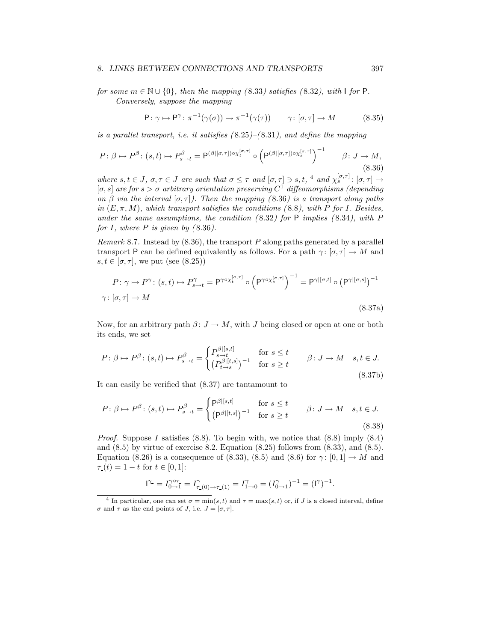#### *8. LINKS BETWEEN CONNECTIONS AND TRANSPORTS* 397

*for some*  $m \in \mathbb{N} \cup \{0\}$ , then the mapping (8.33) satisfies (8.32), with I *for* P. *Conversely, suppose the mapping*

$$
\mathsf{P}: \gamma \mapsto \mathsf{P}^{\gamma}: \pi^{-1}(\gamma(\sigma)) \to \pi^{-1}(\gamma(\tau)) \qquad \gamma: [\sigma, \tau] \to M \tag{8.35}
$$

*is a parallel transport, i.e. it satisfies (* 8.25*)–(* 8.31*), and define the mapping*

$$
P: \beta \mapsto P^{\beta}: (s, t) \mapsto P^{\beta}_{s \to t} = P^{(\beta|[\sigma, \tau]) \circ \chi_t^{[\sigma, \tau]}} \circ \left( P^{(\beta|[\sigma, \tau]) \circ \chi_s^{[\sigma, \tau]}} \right)^{-1} \qquad \beta: J \to M,
$$
\n
$$
(8.36)
$$

*where*  $s, t \in J$ ,  $\sigma, \tau \in J$  *are such that*  $\sigma \leq \tau$  *and*  $[\sigma, \tau] \ni s, t$ , 4 *and*  $\chi_s^{[\sigma, \tau]} : [\sigma, \tau] \rightarrow$ [*σ, s*] *are for s>σ arbitrary orientation preserving C*<sup>1</sup> *diffeomorphisms (depending on*  $\beta$  *via the interval*  $[\sigma, \tau]$ *). Then the mapping (*8.36*) is a transport along paths in*  $(E, \pi, M)$ *, which transport satisfies the conditions (8.8), with P for I. Besides, under the same assumptions, the condition (* 8.32*) for* P *implies (* 8.34*), with P for*  $I$ *, where*  $P$  *is given by (8.36).* 

*Remark* 8.7*.* Instead by (8.36), the transport *P* along paths generated by a parallel transport P can be defined equivalently as follows. For a path  $\gamma: [\sigma, \tau] \to M$  and  $s, t \in [\sigma, \tau]$ , we put (see (8.25))

$$
P: \gamma \mapsto P^{\gamma}: (s, t) \mapsto P^{\gamma}_{s \to t} = P^{\gamma \circ \chi_t^{[\sigma, \tau]}} \circ \left( P^{\gamma \circ \chi_s^{[\sigma, \tau]}} \right)^{-1} = P^{\gamma |[\sigma, t]} \circ \left( P^{\gamma |[\sigma, s]} \right)^{-1}
$$

$$
\gamma: [\sigma, \tau] \to M
$$
(8.37a)

Now, for an arbitrary path  $\beta: J \to M$ , with *J* being closed or open at one or both its ends, we set

$$
P: \beta \mapsto P^{\beta}: (s, t) \mapsto P^{\beta}_{s \to t} = \begin{cases} P^{\beta|[s, t]}_{s \to t} & \text{for } s \le t \\ (P^{\beta|[t, s]}_{t \to s})^{-1} & \text{for } s \ge t \end{cases} \qquad \beta: J \to M \quad s, t \in J.
$$
\n
$$
(8.37b)
$$

It can easily be verified that (8.37) are tantamount to

$$
P: \beta \mapsto P^{\beta}: (s, t) \mapsto P^{\beta}_{s \to t} = \begin{cases} P^{\beta|[s, t]} & \text{for } s \le t \\ (P^{\beta|[t, s]})^{-1} & \text{for } s \ge t \end{cases} \qquad \beta: J \to M \quad s, t \in J. \tag{8.38}
$$

*Proof.* Suppose *I* satisfies  $(8.8)$ . To begin with, we notice that  $(8.8)$  imply  $(8.4)$ and (8.5) by virtue of exercise 8.2. Equation (8.25) follows from (8.33), and (8.5). Equation (8.26) is a consequence of (8.33), (8.5) and (8.6) for  $\gamma$ : [0, 1]  $\rightarrow$  *M* and  $\tau(t)=1-t$  for  $t \in [0,1]$ :

$$
I^{\gamma} = I_{0 \to 1}^{\gamma \circ \tau} = I_{\tau (0) \to \tau (1)}^{\gamma} = I_{1 \to 0}^{\gamma} = (I_{0 \to 1}^{\gamma})^{-1} = (I^{\gamma})^{-1}.
$$

<sup>&</sup>lt;sup>4</sup> In particular, one can set  $\sigma = \min(s, t)$  and  $\tau = \max(s, t)$  or, if J is a closed interval, define  $\sigma$  and  $\tau$  as the end points of J, i.e.  $J = [\sigma, \tau]$ .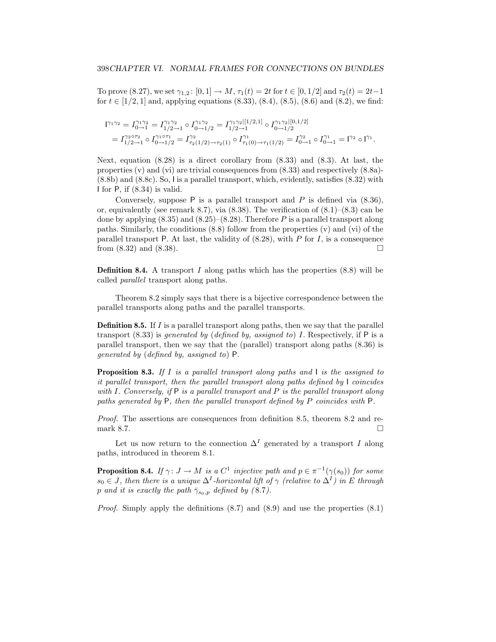To prove (8.27), we set  $\gamma_{1,2}$ : [0, 1]  $\to M$ ,  $\tau_1(t) = 2t$  for  $t \in [0,1/2]$  and  $\tau_2(t) = 2t-1$ for  $t \in [1/2, 1]$  and, applying equations  $(8.33), (8.4), (8.5), (8.6)$  and  $(8.2),$  we find:

$$
\begin{aligned} \Gamma^{_{\!\! 11}\gamma_2} &= I_{0\to1}^{\gamma_1\gamma_2} = I_{1/2\to1}^{\gamma_1\gamma_2} \circ I_{0\to1/2}^{\gamma_1\gamma_2} = I_{1/2\to1}^{\gamma_1\gamma_2|[1/2,1]} \circ I_{0\to1/2}^{\gamma_1\gamma_2|[0,1/2]} \\ &= I_{1/2\to1}^{\gamma_2\circ\tau_2} \circ I_{0\to1/2}^{\gamma_1\circ\tau_1} = I_{\tau_2(1/2)\to\tau_2(1)}^{\gamma_2} \circ I_{\tau_1(0)\to\tau_1(1/2)}^{\gamma_1} = I_{0\to1}^{\gamma_2} \circ I_{0\to1}^{\gamma_1} = \Gamma^{_{\!\! 22}} \circ \Gamma^{_{\!\! 11}}. \end{aligned}
$$

Next, equation  $(8.28)$  is a direct corollary from  $(8.33)$  and  $(8.3)$ . At last, the properties (v) and (vi) are trivial consequences from (8.33) and respectively (8.8a)- (8.8b) and (8.8c). So, I is a parallel transport, which, evidently, satisfies (8.32) with I for P, if (8.34) is valid.

Conversely, suppose P is a parallel transport and *P* is defined via (8.36), or, equivalently (see remark 8.7), via  $(8.38)$ . The verification of  $(8.1)$ – $(8.3)$  can be done by applying (8.35) and (8.25)–(8.28). Therefore *P* is a parallel transport along paths. Similarly, the conditions  $(8.8)$  follow from the properties  $(v)$  and  $(vi)$  of the parallel transport P. At last, the validity of (8.28), with *P* for *I*, is a consequence from  $(8.32)$  and  $(8.38)$ .

**Definition 8.4.** A transport *I* along paths which has the properties (8.8) will be called *parallel* transport along paths.

Theorem 8.2 simply says that there is a bijective correspondence between the parallel transports along paths and the parallel transports.

**Definition 8.5.** If *I* is a parallel transport along paths, then we say that the parallel transport (8.33) is *generated by* (*defined by, assigned to*) *I*. Respectively, if P is a parallel transport, then we say that the (parallel) transport along paths (8.36) is *generated by* (*defined by, assigned to*) P.

**Proposition 8.3.** *If I is a parallel transport along paths and* I *is the assigned to it parallel transport, then the parallel transport along paths defined by* I *coincides with I. Conversely, if* P *is a parallel transport and P is the parallel transport along paths generated by* P*, then the parallel transport defined by P coincides with* P*.*

*Proof.* The assertions are consequences from definition 8.5, theorem 8.2 and remark 8.7.  $\Box$ 

Let us now return to the connection  $\Delta^I$  generated by a transport *I* along paths, introduced in theorem 8.1.

**Proposition 8.4.** *If*  $\gamma: J \to M$  *is a*  $C^1$  *injective path and*  $p \in \pi^{-1}(\gamma(s_0))$  *for some*  $s_0 \in J$ *, then there is a unique*  $\Delta^I$ *-horizontal lift of*  $\gamma$  *(relative to*  $\Delta^I$ *) in E through p and it is exactly the path*  $\bar{\gamma}_{s_0,p}$  *defined by (8.7).* 

*Proof.* Simply apply the definitions  $(8.7)$  and  $(8.9)$  and use the properties  $(8.1)$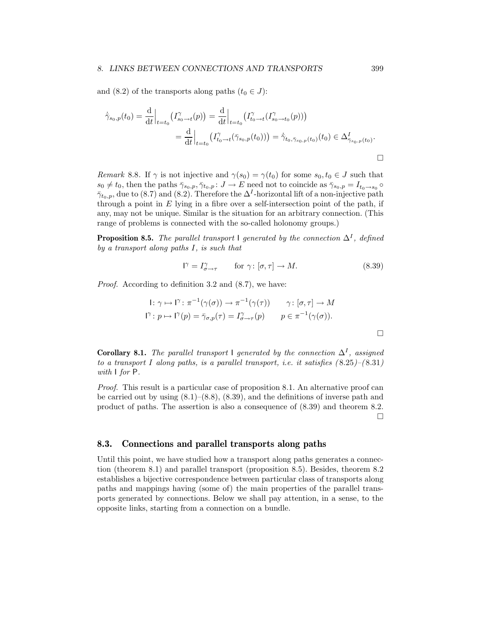#### *8. LINKS BETWEEN CONNECTIONS AND TRANSPORTS* 399

and (8.2) of the transports along paths  $(t_0 \in J)$ :

$$
\dot{\bar{\gamma}}_{s_0,p}(t_0) = \frac{d}{dt}\Big|_{t=t_0} (I_{s_0 \to t}^{\gamma}(p)) = \frac{d}{dt}\Big|_{t=t_0} (I_{t_0 \to t}^{\gamma}(I_{s_0 \to t_0}^{\gamma}(p)))
$$
\n
$$
= \frac{d}{dt}\Big|_{t=t_0} (I_{t_0 \to t}^{\gamma}(\bar{\gamma}_{s_0,p}(t_0))) = \dot{\bar{\gamma}}_{t_0,\bar{\gamma}_{s_0,p}(t_0)}(t_0) \in \Delta_{\bar{\gamma}_{s_0,p}(t_0)}^I.
$$

*Remark* 8.8*.* If  $\gamma$  is not injective and  $\gamma(s_0) = \gamma(t_0)$  for some  $s_0, t_0 \in J$  such that  $s_0 \neq t_0$ , then the paths  $\bar{\gamma}_{s_0,p}, \bar{\gamma}_{t_0,p} : J \to E$  need not to coincide as  $\bar{\gamma}_{s_0,p} = I_{t_0 \to s_0}$  $\bar{\gamma}_{t_0,p}$ , due to (8.7) and (8.2). Therefore the  $\Delta^I$ -horizontal lift of a non-injective path through a point in *E* lying in a fibre over a self-intersection point of the path, if any, may not be unique. Similar is the situation for an arbitrary connection. (This range of problems is connected with the so-called holonomy groups.)

**Proposition 8.5.** *The parallel transport* I generated by the connection  $\Delta^I$ *, defined by a transport along paths I, is such that*

$$
\Gamma = I_{\sigma \to \tau}^{\gamma} \qquad \text{for } \gamma \colon [\sigma, \tau] \to M. \tag{8.39}
$$

*Proof.* According to definition 3.2 and  $(8.7)$ , we have:

1: 
$$
\gamma \mapsto \Gamma : \pi^{-1}(\gamma(\sigma)) \to \pi^{-1}(\gamma(\tau))
$$
  $\gamma : [\sigma, \tau] \to M$   
\n
$$
\Gamma : p \mapsto \Gamma'(p) = \bar{\gamma}_{\sigma, p}(\tau) = I_{\sigma \to \tau}^{\gamma}(p)
$$
  $p \in \pi^{-1}(\gamma(\sigma)).$ 

**Corollary 8.1.** *The parallel transport* I generated by the connection  $\Delta^I$ , assigned *to a transport I* along paths, is a parallel transport, i.e. it satisfies  $(8.25)$ – $(8.31)$ *with* I *for* P*.*

*Proof.* This result is a particular case of proposition 8.1. An alternative proof can be carried out by using  $(8.1)$ – $(8.8)$ ,  $(8.39)$ , and the definitions of inverse path and product of paths. The assertion is also a consequence of (8.39) and theorem 8.2.  $\Box$ 

#### **8.3. Connections and parallel transports along paths**

Until this point, we have studied how a transport along paths generates a connection (theorem 8.1) and parallel transport (proposition 8.5). Besides, theorem 8.2 establishes a bijective correspondence between particular class of transports along paths and mappings having (some of) the main properties of the parallel transports generated by connections. Below we shall pay attention, in a sense, to the opposite links, starting from a connection on a bundle.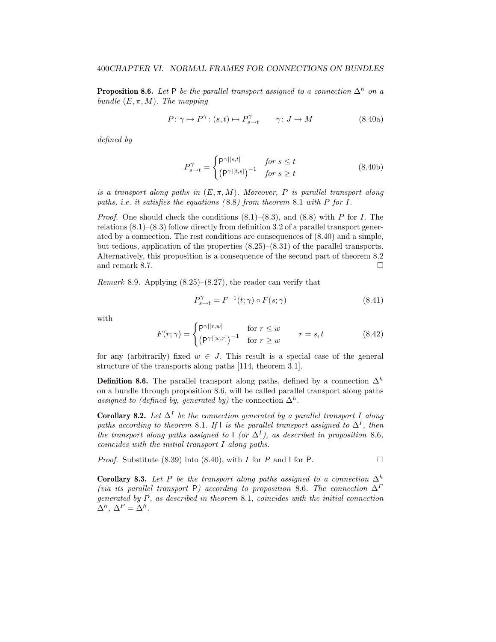**Proposition 8.6.** *Let* P *be the parallel transport assigned to a connection*  $\Delta^h$  *on a bundle*  $(E, \pi, M)$ *. The mapping* 

$$
P: \gamma \mapsto P^{\gamma} : (s, t) \mapsto P^{\gamma}_{s \to t} \qquad \gamma: J \to M \tag{8.40a}
$$

*defined by*

$$
P_{s \to t}^{\gamma} = \begin{cases} \mathsf{P}^{\gamma|[s,t]} & \text{for } s \le t \\ \left(\mathsf{P}^{\gamma|[t,s]}\right)^{-1} & \text{for } s \ge t \end{cases}
$$
 (8.40b)

*is a transport along paths in*  $(E, \pi, M)$ *. Moreover, P is parallel transport along paths, i.e. it satisfies the equations (* 8.8*) from theorem* 8.1 *with P for I.*

*Proof.* One should check the conditions (8.1)–(8.3), and (8.8) with *P* for *I*. The relations  $(8.1)$ – $(8.3)$  follow directly from definition 3.2 of a parallel transport generated by a connection. The rest conditions are consequences of (8.40) and a simple, but tedious, application of the properties  $(8.25)-(8.31)$  of the parallel transports. Alternatively, this proposition is a consequence of the second part of theorem 8.2 and remark 8.7.

*Remark* 8.9*.* Applying (8.25)–(8.27), the reader can verify that

$$
P_{s \to t}^{\gamma} = F^{-1}(t; \gamma) \circ F(s; \gamma)
$$
\n(8.41)

with

$$
F(r;\gamma) = \begin{cases} \mathsf{P}^{\gamma|[r,w]} & \text{for } r \le w \\ (\mathsf{P}^{\gamma|[w,r]})^{-1} & \text{for } r \ge w \end{cases} \qquad r = s, t \qquad (8.42)
$$

for any (arbitrarily) fixed  $w \in J$ . This result is a special case of the general structure of the transports along paths [114, theorem 3.1].

**Definition 8.6.** The parallel transport along paths, defined by a connection  $\Delta^h$ on a bundle through proposition 8.6, will be called parallel transport along paths *assigned to (defined by, generated by)* the connection  $\Delta^h$ .

**Corollary 8.2.** *Let*  $\Delta^I$  *be the connection generated by a parallel transport I* along *paths according to theorem* 8.1*.* If l *is the parallel transport assigned to*  $\Delta^I$ *, then the transport along paths assigned to*  $\lceil (or \Delta^I) \rceil$ *, as described in proposition* 8.6*, coincides with the initial transport I along paths.*

*Proof.* Substitute (8.39) into (8.40), with *I* for *P* and *I* for *P*.

**Corollary 8.3.** *Let P be the transport along paths assigned to a connection*  $\Delta^h$ *(via its parallel transport* P*) according to proposition* 8.6*. The connection* ∆<sup>P</sup> *generated by P, as described in theorem* 8.1*, coincides with the initial connection*  $\Delta^h$ ,  $\Delta^P = \Delta^h$ .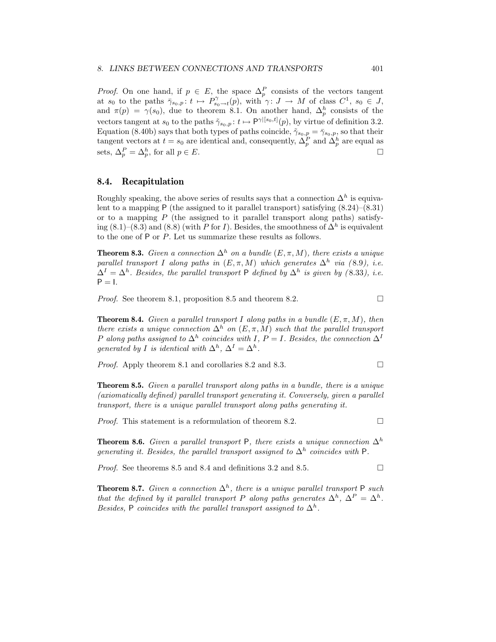*Proof.* On one hand, if  $p \in E$ , the space  $\Delta_p^P$  consists of the vectors tangent at *s*<sub>0</sub> to the paths  $\bar{\gamma}_{s_0,p}: t \mapsto P_{s_0 \to t}^{\gamma}(p)$ , with  $\gamma: J \to M$  of class  $C^1$ ,  $s_0 \in J$ , and  $\pi(p) = \gamma(s_0)$ , due to theorem 8.1. On another hand,  $\Delta_p^h$  consists of the vectors tangent at  $s_0$  to the paths  $\tilde{\gamma}_{s_0,p}: t \mapsto \mathsf{P}^{\gamma|[s_0,t]}(p)$ , by virtue of definition 3.2. Equation (8.40b) says that both types of paths coincide,  $\tilde{\gamma}_{s_0,p} = \bar{\gamma}_{s_0,p}$ , so that their tangent vectors at  $t = s_0$  are identical and, consequently,  $\Delta_p^P$  and  $\tilde{\Delta}_p^h$  are equal as sets,  $\Delta_p^P = \Delta_p^h$ , for all  $p \in E$ .

#### **8.4. Recapitulation**

Roughly speaking, the above series of results says that a connection  $\Delta^h$  is equivalent to a mapping P (the assigned to it parallel transport) satisfying  $(8.24)$ – $(8.31)$ or to a mapping  $P$  (the assigned to it parallel transport along paths) satisfying (8.1)–(8.3) and (8.8) (with *P* for *I*). Besides, the smoothness of  $\Delta^h$  is equivalent to the one of P or *P*. Let us summarize these results as follows.

**Theorem 8.3.** *Given a connection*  $\Delta^h$  *on a bundle*  $(E, \pi, M)$ *, there exists a unique parallel transport I along paths in*  $(E, \pi, M)$  *which generates*  $\Delta^h$  *via* (8.9), *i.e.*  $\Delta^{I} = \Delta^{h}$ . Besides, the parallel transport P defined by  $\Delta^{h}$  is given by (8.33), i.e.  $P = I$ .

*Proof.* See theorem 8.1, proposition 8.5 and theorem 8.2. □

**Theorem 8.4.** *Given a parallel transport I* along paths in a bundle  $(E, \pi, M)$ *, then there exists a unique connection*  $\Delta^h$  *on*  $(E, \pi, M)$  *such that the parallel transport P along paths assigned to*  $\Delta^h$  *coincides with I*, *P* = *I. Besides, the connection*  $\Delta^I$ *generated by I is identical with*  $\Delta^h$ ,  $\Delta^I = \Delta^h$ .

*Proof.* Apply theorem 8.1 and corollaries 8.2 and 8.3. □

**Theorem 8.5.** *Given a parallel transport along paths in a bundle, there is a unique (axiomatically defined) parallel transport generating it. Conversely, given a parallel transport, there is a unique parallel transport along paths generating it.*

*Proof.* This statement is a reformulation of theorem 8.2. □

**Theorem 8.6.** *Given a parallel transport* P, *there exists a unique connection*  $\Delta^h$ *generating it. Besides, the parallel transport assigned to*  $\Delta^h$  *coincides with* P.

*Proof.* See theorems 8.5 and 8.4 and definitions 3.2 and 8.5.  $\Box$ 

**Theorem 8.7.** *Given a connection*  $\Delta^h$ *, there is a unique parallel transport* P *such that the defined by it parallel transport P along paths generates*  $\Delta^h$ ,  $\Delta^P = \Delta^h$ . *Besides,* P *coincides with the parallel transport assigned to*  $\Delta^h$ .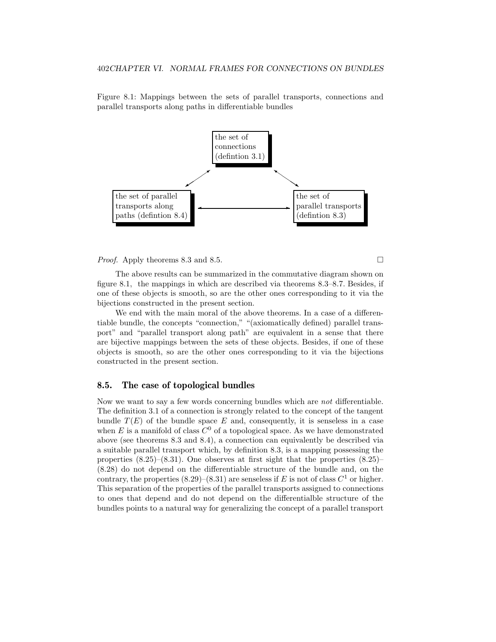Figure 8.1: Mappings between the sets of parallel transports, connections and parallel transports along paths in differentiable bundles



*Proof.* Apply theorems 8.3 and 8.5. □

The above results can be summarized in the commutative diagram shown on figure 8.1, the mappings in which are described via theorems 8.3–8.7. Besides, if one of these objects is smooth, so are the other ones corresponding to it via the bijections constructed in the present section.

We end with the main moral of the above theorems. In a case of a differentiable bundle, the concepts "connection," "(axiomatically defined) parallel transport" and "parallel transport along path" are equivalent in a sense that there are bijective mappings between the sets of these objects. Besides, if one of these objects is smooth, so are the other ones corresponding to it via the bijections constructed in the present section.

#### **8.5. The case of topological bundles**

Now we want to say a few words concerning bundles which are *not* differentiable. The definition 3.1 of a connection is strongly related to the concept of the tangent bundle  $T(E)$  of the bundle space  $E$  and, consequently, it is senseless in a case when E is a manifold of class  $C^0$  of a topological space. As we have demonstrated above (see theorems 8.3 and 8.4), a connection can equivalently be described via a suitable parallel transport which, by definition 8.3, is a mapping possessing the properties  $(8.25)-(8.31)$ . One observes at first sight that the properties  $(8.25)$ (8.28) do not depend on the differentiable structure of the bundle and, on the contrary, the properties  $(8.29)$ – $(8.31)$  are senseless if *E* is not of class  $C<sup>1</sup>$  or higher. This separation of the properties of the parallel transports assigned to connections to ones that depend and do not depend on the differentialble structure of the bundles points to a natural way for generalizing the concept of a parallel transport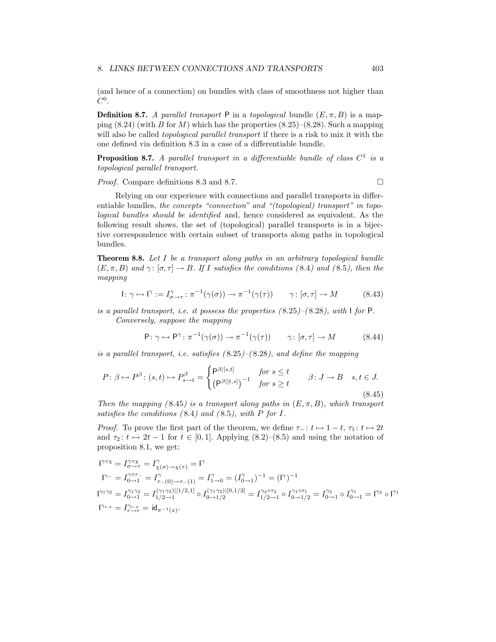(and hence of a connection) on bundles with class of smoothness not higher than *C*0.

**Definition 8.7.** *A parallel transport* P in a *topological* bundle  $(E, \pi, B)$  is a mapping (8.24) (with *B* for *M*) which has the properties (8.25)–(8.28). Such a mapping will also be called *topological parallel transport* if there is a risk to mix it with the one defined via definition 8.3 in a case of a differentiable bundle.

**Proposition 8.7.** *A parallel transport in a differentiable bundle of class C*<sup>1</sup> *is a topological parallel transport.*

#### *Proof.* Compare definitions 8.3 and 8.7. □

Relying on our experience with connections and parallel transports in differentiable bundles, *the concepts "connection" and "(topological) transport" in topological bundles should be identified* and, hence considered as equivalent. As the following result shows, the set of (topological) parallel transports is in a bijective correspondence with certain subset of transports along paths in topological bundles.

**Theorem 8.8.** *Let I be a transport along paths in an arbitrary topological bundle*  $(E, \pi, B)$  *and*  $\gamma: [\sigma, \tau] \to B$ *. If I* satisfies the conditions (8.4) and (8.5), then the *mapping*

$$
I: \gamma \mapsto I^{\gamma} := I^{\gamma}_{\sigma \to \tau} : \pi^{-1}(\gamma(\sigma)) \to \pi^{-1}(\gamma(\tau)) \qquad \gamma: [\sigma, \tau] \to M \tag{8.43}
$$

*is a parallel transport, i.e. it possess the properties (* 8.25*)–(* 8.28*), with* I *for* P*. Conversely, suppose the mapping*

$$
P: \gamma \mapsto P^{\gamma}: \pi^{-1}(\gamma(\sigma)) \to \pi^{-1}(\gamma(\tau)) \qquad \gamma: [\sigma, \tau] \to M \tag{8.44}
$$

*is a parallel transport, i.e. satisfies (* 8.25*)–(* 8.28*), and define the mapping*

$$
P: \beta \mapsto P^{\beta}: (s, t) \mapsto P^{\beta}_{s \to t} = \begin{cases} \mathsf{P}^{\beta|[s, t]} & \text{for } s \leq t \\ \left(\mathsf{P}^{\beta|[t, s]}\right)^{-1} & \text{for } s \geq t \end{cases} \qquad \beta: J \to B \quad s, t \in J. \tag{8.45}
$$

*Then the mapping (8.45) is a transport along paths in*  $(E, \pi, B)$ *, which transport satisfies the conditions (* 8.4*) and (* 8.5*), with P for I.*

*Proof.* To prove the first part of the theorem, we define  $\tau_-\colon t \mapsto 1-t$ ,  $\tau_1\colon t \mapsto 2t$ and  $\tau_2: t \mapsto 2t - 1$  for  $t \in [0, 1]$ . Applying  $(8.2)$ – $(8.5)$  and using the notation of proposition 8.1, we get:

$$
\begin{aligned} &1^{\gamma\circ\chi}=I_{\sigma\to\tau}^{\gamma\circ\chi}=I_{\chi(\sigma)\to\chi(\tau)}^{\gamma}=1^{\gamma}\\ &1^{\gamma-}=I_{0\to1}^{\gamma\circ\tau-}=I_{\tau-(0)\to\tau-(1)}^{\gamma}=I_{1\to0}^{\gamma}=(I_{0\to1}^{\gamma})^{-1}=(\mathrm{I}^{\gamma})^{-1}\\ &1^{\gamma_1\gamma_2}=I_{0\to1}^{\gamma_1\gamma_2}=I_{1/2\to1}^{(\gamma_1\gamma_2)|[1/2,1]}\circ I_{0\to1/2}^{(\gamma_1\gamma_2)|[0,1/2]}=I_{1/2\to1}^{\gamma_2\circ\tau_2}\circ I_{0\to1/2}^{\gamma_1\circ\tau_1}=I_{0\to1}^{\gamma_2}\circ I_{0\to1}^{\gamma_1}=1^{\gamma_2}\circ 1^{\gamma_1}\\ &1^{\gamma_{r,x}}=I_{r\to r}^{\gamma_{r,x}}=\mathrm{id}_{\pi^{-1}(x)}. \end{aligned}
$$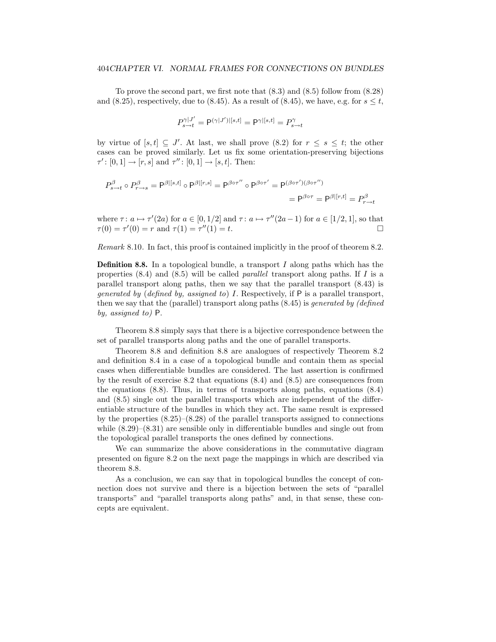To prove the second part, we first note that (8.3) and (8.5) follow from (8.28) and  $(8.25)$ , respectively, due to  $(8.45)$ . As a result of  $(8.45)$ , we have, e.g. for  $s \leq t$ ,

$$
P^{\gamma|J'}_{s \rightarrow t} = \mathsf{P}^{(\gamma|J')|[s,t]} = \mathsf{P}^{\gamma|[s,t]} = P^{\gamma}_{s \rightarrow t}
$$

by virtue of  $[s, t] \subseteq J'$ . At last, we shall prove  $(8.2)$  for  $r \le s \le t$ ; the other cases can be proved similarly. Let us fix some orientation-preserving bijections  $\tau'$ :  $[0,1] \rightarrow [r,s]$  and  $\tau''$ :  $[0,1] \rightarrow [s,t]$ . Then:

$$
P_{s \to t}^{\beta} \circ P_{r \to s}^{\beta} = P^{\beta|[s,t]} \circ P^{\beta|[r,s]} = P^{\beta \circ \tau''} \circ P^{\beta \circ \tau'} = P^{(\beta \circ \tau')(\beta \circ \tau'')}
$$

$$
= P^{\beta \circ \tau} = P^{\beta|[r,t]} = P_{r \to t}^{\beta}
$$

where  $\tau: a \mapsto \tau'(2a)$  for  $a \in [0, 1/2]$  and  $\tau: a \mapsto \tau''(2a-1)$  for  $a \in [1/2, 1]$ , so that  $\tau(0) = \tau'(0) = r$  and  $\tau(1) = \tau''(1) = t$ .

*Remark* 8.10*.* In fact, this proof is contained implicitly in the proof of theorem 8.2.

**Definition 8.8.** In a topological bundle, a transport *I* along paths which has the properties (8.4) and (8.5) will be called *parallel* transport along paths. If *I* is a parallel transport along paths, then we say that the parallel transport (8.43) is *generated by* (*defined by, assigned to*) *I*. Respectively, if P is a parallel transport, then we say that the (parallel) transport along paths (8.45) is *generated by (defined by, assigned to)* P.

Theorem 8.8 simply says that there is a bijective correspondence between the set of parallel transports along paths and the one of parallel transports.

Theorem 8.8 and definition 8.8 are analogues of respectively Theorem 8.2 and definition 8.4 in a case of a topological bundle and contain them as special cases when differentiable bundles are considered. The last assertion is confirmed by the result of exercise 8.2 that equations (8.4) and (8.5) are consequences from the equations (8.8). Thus, in terms of transports along paths, equations (8.4) and (8.5) single out the parallel transports which are independent of the differentiable structure of the bundles in which they act. The same result is expressed by the properties (8.25)–(8.28) of the parallel transports assigned to connections while  $(8.29)$ – $(8.31)$  are sensible only in differentiable bundles and single out from the topological parallel transports the ones defined by connections.

We can summarize the above considerations in the commutative diagram presented on figure 8.2 on the next page the mappings in which are described via theorem 8.8.

As a conclusion, we can say that in topological bundles the concept of connection does not survive and there is a bijection between the sets of "parallel transports" and "parallel transports along paths" and, in that sense, these concepts are equivalent.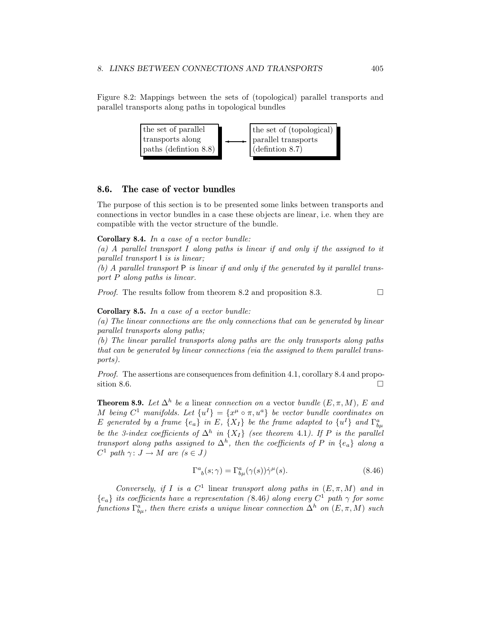Figure 8.2: Mappings between the sets of (topological) parallel transports and parallel transports along paths in topological bundles



#### **8.6. The case of vector bundles**

The purpose of this section is to be presented some links between transports and connections in vector bundles in a case these objects are linear, i.e. when they are compatible with the vector structure of the bundle.

#### **Corollary 8.4.** *In a case of a vector bundle:*

*(a) A parallel transport I along paths is linear if and only if the assigned to it parallel transport* I *is is linear;*

*(b) A parallel transport* P *is linear if and only if the generated by it parallel transport P along paths is linear.*

*Proof.* The results follow from theorem 8.2 and proposition 8.3. □

#### **Corollary 8.5.** *In a case of a vector bundle:*

*(a) The linear connections are the only connections that can be generated by linear parallel transports along paths;*

*(b) The linear parallel transports along paths are the only transports along paths that can be generated by linear connections (via the assigned to them parallel transports).*

*Proof.* The assertions are consequences from definition 4.1, corollary 8.4 and proposition 8.6.

**Theorem 8.9.** *Let*  $\Delta^h$  *be a* linear *connection on a* vector *bundle* (*E,*  $\pi$ *, M*)*, E and M being*  $C^1$  *manifolds. Let*  $\{u^I\} = \{x^\mu \circ \pi, u^a\}$  *be vector bundle coordinates on E* generated by a frame  $\{e_a\}$  in *E*,  $\{X_I\}$  be the frame adapted to  $\{u^I\}$  and  $\Gamma^a_{b\mu}$ *be the 3-index coefficients of*  $\Delta^h$  *in* {*XI} (see theorem 4.1). If P is the parallel transport along paths assigned to*  $\Delta^h$ , *then the coefficients of P in*  $\{e_a\}$  *along a*  $C^1$  *path*  $\gamma: J \to M$  *are*  $(s \in J)$ 

$$
\Gamma^{a}_{\ b}(s;\gamma) = \Gamma^{a}_{b\mu}(\gamma(s))\dot{\gamma}^{\mu}(s). \tag{8.46}
$$

*Conversely, if I is a*  $C^1$  linear *transport along paths in*  $(E, \pi, M)$  *and in*  ${e_a}$  *its coefficients have a representation (8.46) along every*  $C^1$  *path*  $\gamma$  *for some*  $functions \Gamma_{b\mu}^{a}$ , then there exists a unique linear connection  $\Delta^{h}$  on  $(E, \pi, M)$  such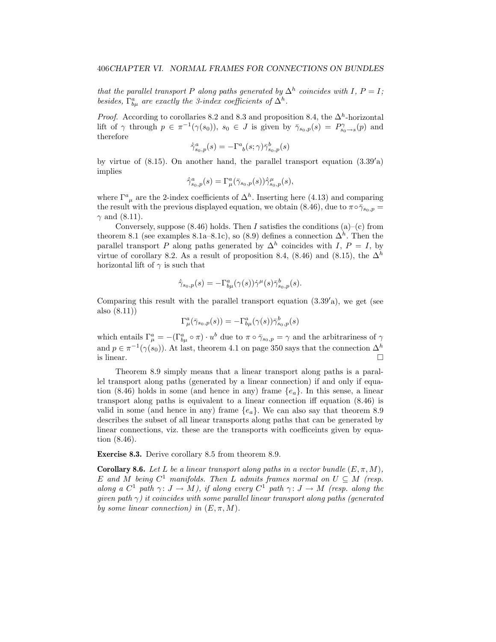*that the parallel transport P along paths generated by*  $\Delta^h$  *coincides with I*, *P* = *I*; besides,  $\Gamma^a_{b\mu}$  are exactly the 3-index coefficients of  $\Delta^h$ .

*Proof.* According to corollaries 8.2 and 8.3 and proposition 8.4, the  $\Delta^h$ -horizontal lift of  $\gamma$  through  $p \in \pi^{-1}(\gamma(s_0))$ ,  $s_0 \in J$  is given by  $\bar{\gamma}_{s_0,p}(s) = P^{\gamma}_{s_0 \to s}(p)$  and therefore

$$
\dot{\bar{\gamma}}^a_{s_0,p}(s) = -\Gamma^a_{\ b}(s;\gamma)\bar{\gamma}^b_{s_0,p}(s)
$$

by virtue of  $(8.15)$ . On another hand, the parallel transport equation  $(3.39'a)$ implies

$$
\dot{\bar{\gamma}}^a_{s_0,p}(s)=\Gamma^a_{\mu}(\bar{\gamma}_{s_0,p}(s))\dot{\bar{\gamma}}^{\mu}_{s_0,p}(s),
$$

where  $\Gamma^a{}_\mu$  are the 2-index coefficients of  $\Delta^h$ . Inserting here (4.13) and comparing the result with the previous displayed equation, we obtain (8.46), due to  $\pi \circ \bar{\gamma}_{s_0,p} =$  $\gamma$  and (8.11).

Conversely, suppose  $(8.46)$  holds. Then *I* satisfies the conditions  $(a)$ – $(c)$  from theorem 8.1 (see examples 8.1a–8.1c), so (8.9) defines a connection  $\Delta^h$ . Then the parallel transport *P* along paths generated by  $\Delta^h$  coincides with *I*, *P* = *I*, by virtue of corollary 8.2. As a result of proposition 8.4, (8.46) and (8.15), the  $\Delta^h$ horizontal lift of *γ* is such that

$$
\dot{\bar{\gamma}}_{s_0,p}(s) = -\Gamma^a_{b\mu}(\gamma(s))\dot{\gamma}^\mu(s)\bar{\gamma}^b_{s_0,p}(s).
$$

Comparing this result with the parallel transport equation  $(3.39'a)$ , we get (see also (8.11))

$$
\Gamma^a_\mu(\bar\gamma_{s_0,p}(s))=-\Gamma^a_{b\mu}(\gamma(s))\bar\gamma^b_{s_0,p}(s)
$$

which entails  $\Gamma_{\mu}^{a} = -(\Gamma_{b\mu}^{a} \circ \pi) \cdot u^{b}$  due to  $\pi \circ \bar{\gamma}_{s_0,p} = \gamma$  and the arbitrariness of  $\gamma$ and  $p \in \pi^{-1}(\gamma(s_0))$ . At last, theorem 4.1 on page 350 says that the connection  $\Delta^h$ is linear.  $\Box$ 

Theorem 8.9 simply means that a linear transport along paths is a parallel transport along paths (generated by a linear connection) if and only if equation (8.46) holds in some (and hence in any) frame {*e*a}. In this sense, a linear transport along paths is equivalent to a linear connection iff equation (8.46) is valid in some (and hence in any) frame  $\{e_a\}$ . We can also say that theorem 8.9 describes the subset of all linear transports along paths that can be generated by linear connections, viz. these are the transports with coefficeints given by equation (8.46).

**Exercise 8.3.** Derive corollary 8.5 from theorem 8.9.

**Corollary 8.6.** *Let L be a linear transport along paths in a vector bundle*  $(E, \pi, M)$ *, E* and *M* being  $C^1$  manifolds. Then *L* admits frames normal on  $U \subseteq M$  (resp. *along a*  $C^1$  *path*  $\gamma: J \to M$ *), if along every*  $C^1$  *path*  $\gamma: J \to M$  (resp. along the *given path γ) it coincides with some parallel linear transport along paths (generated by some linear connection) in*  $(E, \pi, M)$ *.*